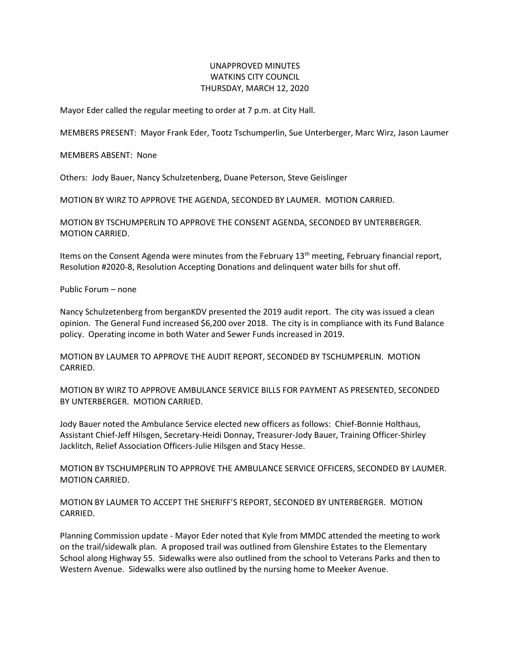## UNAPPROVED MINUTES WATKINS CITY COUNCIL THURSDAY, MARCH 12, 2020

Mayor Eder called the regular meeting to order at 7 p.m. at City Hall.

MEMBERS PRESENT: Mayor Frank Eder, Tootz Tschumperlin, Sue Unterberger, Marc Wirz, Jason Laumer

MEMBERS ABSENT: None

Others: Jody Bauer, Nancy Schulzetenberg, Duane Peterson, Steve Geislinger

MOTION BY WIRZ TO APPROVE THE AGENDA, SECONDED BY LAUMER. MOTION CARRIED.

MOTION BY TSCHUMPERLIN TO APPROVE THE CONSENT AGENDA, SECONDED BY UNTERBERGER. MOTION CARRIED.

Items on the Consent Agenda were minutes from the February 13th meeting, February financial report, Resolution #2020-8, Resolution Accepting Donations and delinquent water bills for shut off.

Public Forum – none

Nancy Schulzetenberg from berganKDV presented the 2019 audit report. The city was issued a clean opinion. The General Fund increased \$6,200 over 2018. The city is in compliance with its Fund Balance policy. Operating income in both Water and Sewer Funds increased in 2019.

MOTION BY LAUMER TO APPROVE THE AUDIT REPORT, SECONDED BY TSCHUMPERLIN. MOTION CARRIED.

MOTION BY WIRZ TO APPROVE AMBULANCE SERVICE BILLS FOR PAYMENT AS PRESENTED, SECONDED BY UNTERBERGER. MOTION CARRIED.

Jody Bauer noted the Ambulance Service elected new officers as follows: Chief-Bonnie Holthaus, Assistant Chief-Jeff Hilsgen, Secretary-Heidi Donnay, Treasurer-Jody Bauer, Training Officer-Shirley Jacklitch, Relief Association Officers-Julie Hilsgen and Stacy Hesse.

MOTION BY TSCHUMPERLIN TO APPROVE THE AMBULANCE SERVICE OFFICERS, SECONDED BY LAUMER. MOTION CARRIED.

MOTION BY LAUMER TO ACCEPT THE SHERIFF'S REPORT, SECONDED BY UNTERBERGER. MOTION CARRIED.

Planning Commission update - Mayor Eder noted that Kyle from MMDC attended the meeting to work on the trail/sidewalk plan. A proposed trail was outlined from Glenshire Estates to the Elementary School along Highway 55. Sidewalks were also outlined from the school to Veterans Parks and then to Western Avenue. Sidewalks were also outlined by the nursing home to Meeker Avenue.